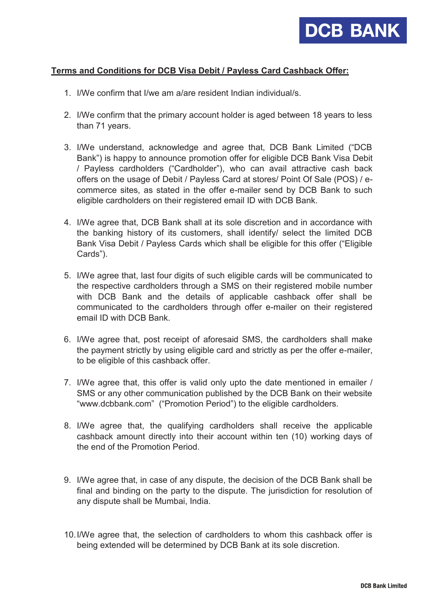

## **Terms and Conditions for DCB Visa Debit / Payless Card Cashback Offer:**

- 1. I/We confirm that I/we am a/are resident Indian individual/s.
- 2. I/We confirm that the primary account holder is aged between 18 years to less than 71 years.
- 3. I/We understand, acknowledge and agree that, DCB Bank Limited ("DCB Bank") is happy to announce promotion offer for eligible DCB Bank Visa Debit / Payless cardholders ("Cardholder"), who can avail attractive cash back offers on the usage of Debit / Payless Card at stores/ Point Of Sale (POS) / ecommerce sites, as stated in the offer e-mailer send by DCB Bank to such eligible cardholders on their registered email ID with DCB Bank.
- 4. I/We agree that, DCB Bank shall at its sole discretion and in accordance with the banking history of its customers, shall identify/ select the limited DCB Bank Visa Debit / Payless Cards which shall be eligible for this offer ("Eligible Cards").
- 5. I/We agree that, last four digits of such eligible cards will be communicated to the respective cardholders through a SMS on their registered mobile number with DCB Bank and the details of applicable cashback offer shall be communicated to the cardholders through offer e-mailer on their registered email ID with DCB Bank.
- 6. I/We agree that, post receipt of aforesaid SMS, the cardholders shall make the payment strictly by using eligible card and strictly as per the offer e-mailer, to be eligible of this cashback offer.
- 7. I/We agree that, this offer is valid only upto the date mentioned in emailer / SMS or any other communication published by the DCB Bank on their website "www.dcbbank.com" ("Promotion Period") to the eligible cardholders.
- 8. I/We agree that, the qualifying cardholders shall receive the applicable cashback amount directly into their account within ten (10) working days of the end of the Promotion Period.
- 9. I/We agree that, in case of any dispute, the decision of the DCB Bank shall be final and binding on the party to the dispute. The jurisdiction for resolution of any dispute shall be Mumbai, India.
- 10.I/We agree that, the selection of cardholders to whom this cashback offer is being extended will be determined by DCB Bank at its sole discretion.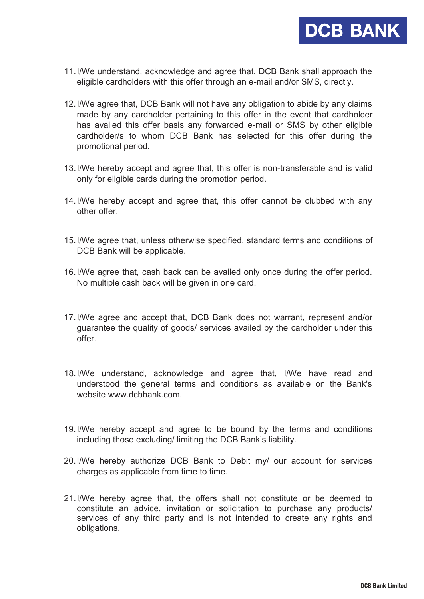

- 11.I/We understand, acknowledge and agree that, DCB Bank shall approach the eligible cardholders with this offer through an e-mail and/or SMS, directly.
- 12.I/We agree that, DCB Bank will not have any obligation to abide by any claims made by any cardholder pertaining to this offer in the event that cardholder has availed this offer basis any forwarded e-mail or SMS by other eligible cardholder/s to whom DCB Bank has selected for this offer during the promotional period.
- 13.I/We hereby accept and agree that, this offer is non-transferable and is valid only for eligible cards during the promotion period.
- 14.I/We hereby accept and agree that, this offer cannot be clubbed with any other offer.
- 15.I/We agree that, unless otherwise specified, standard terms and conditions of DCB Bank will be applicable.
- 16.I/We agree that, cash back can be availed only once during the offer period. No multiple cash back will be given in one card.
- 17.I/We agree and accept that, DCB Bank does not warrant, represent and/or guarantee the quality of goods/ services availed by the cardholder under this offer.
- 18.I/We understand, acknowledge and agree that, I/We have read and understood the general terms and conditions as available on the Bank's website www.dcbbank.com
- 19.I/We hereby accept and agree to be bound by the terms and conditions including those excluding/ limiting the DCB Bank's liability.
- 20.I/We hereby authorize DCB Bank to Debit my/ our account for services charges as applicable from time to time.
- 21.I/We hereby agree that, the offers shall not constitute or be deemed to constitute an advice, invitation or solicitation to purchase any products/ services of any third party and is not intended to create any rights and obligations.